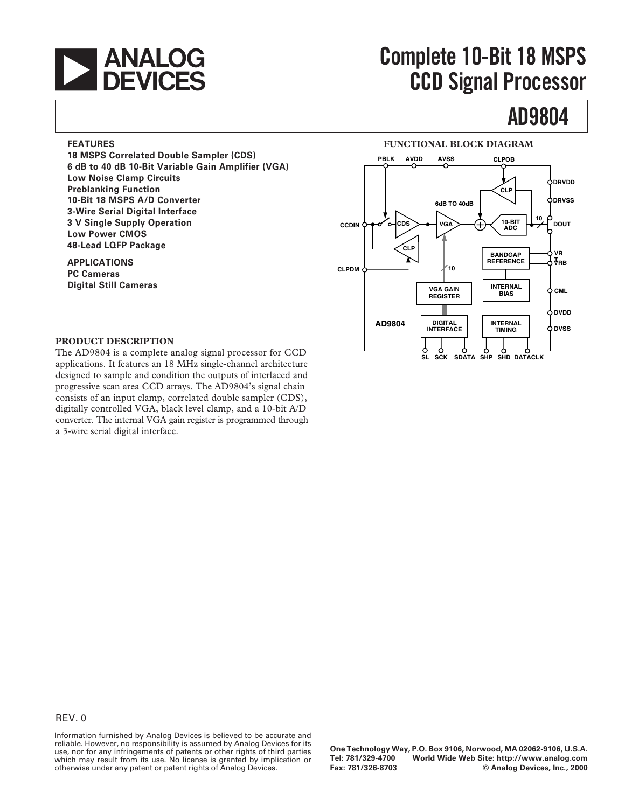

## **EXECUTE:**<br> **Complete 10-Bit 18 MSPS**<br> **CGD Signal Processor CCD Signal Processor**

## **AD9804**

#### **FEATURES**

**18 MSPS Correlated Double Sampler (CDS) 6 dB to 40 dB 10-Bit Variable Gain Amplifier (VGA) Low Noise Clamp Circuits Preblanking Function 10-Bit 18 MSPS A/D Converter 3-Wire Serial Digital Interface 3 V Single Supply Operation Low Power CMOS 48-Lead LQFP Package** 

**APPLICATIONS PC Cameras Digital Still Cameras** 



#### **PRODUCT DESCRIPTION**

The AD9804 is a complete analog signal processor for CCD applications. It features an 18 MHz single-channel architecture designed to sample and condition the outputs of interlaced and progressive scan area CCD arrays. The AD9804's signal chain consists of an input clamp, correlated double sampler (CDS), digitally controlled VGA, black level clamp, and a 10-bit A/D converter. The internal VGA gain register is programmed through a 3-wire serial digital interface.

Information furnished by Analog Devices is believed to be accurate and reliable. However, no responsibility is assumed by Analog Devices for its use, nor for any infringements of patents or other rights of third parties which may result from its use. No license is granted by implication or otherwise under any patent or patent rights of Analog Devices.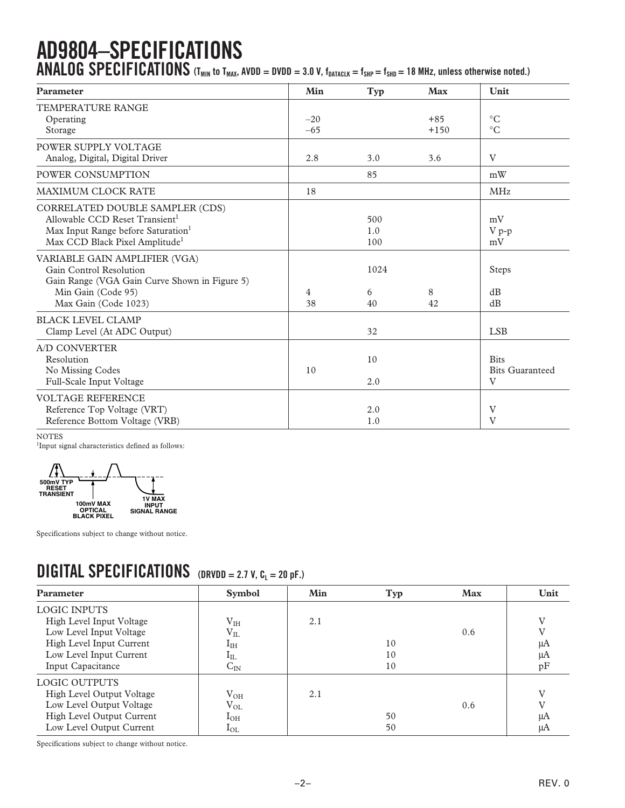# **AD9804–SPECIFICATIONS**

**ANALOG SPECIFICATIONS** (T<sub>MIN</sub> to T<sub>MAX</sub>, AVDD = DVDD = 3.0 V, f<sub>DATACLK</sub> = f<sub>SHP</sub> = f<sub>SHD</sub> = 18 MHz, unless otherwise noted.)

| <b>Parameter</b>                                                                                                                                                              | Min            | Typ               | <b>Max</b>      | Unit                                       |
|-------------------------------------------------------------------------------------------------------------------------------------------------------------------------------|----------------|-------------------|-----------------|--------------------------------------------|
| <b>TEMPERATURE RANGE</b><br>Operating<br>Storage                                                                                                                              | $-20$<br>$-65$ |                   | $+85$<br>$+150$ | $\rm ^{\circ}C$<br>$\circ$ C               |
| POWER SUPPLY VOLTAGE<br>Analog, Digital, Digital Driver                                                                                                                       | 2.8            | 3.0               | 3.6             | V                                          |
| POWER CONSUMPTION                                                                                                                                                             |                | 85                |                 | mW                                         |
| <b>MAXIMUM CLOCK RATE</b>                                                                                                                                                     | 18             |                   |                 | <b>MHz</b>                                 |
| CORRELATED DOUBLE SAMPLER (CDS)<br>Allowable CCD Reset Transient <sup>1</sup><br>Max Input Range before Saturation <sup>1</sup><br>Max CCD Black Pixel Amplitude <sup>1</sup> |                | 500<br>1.0<br>100 |                 | mV<br>V p-p<br>mV                          |
| VARIABLE GAIN AMPLIFIER (VGA)<br>Gain Control Resolution<br>Gain Range (VGA Gain Curve Shown in Figure 5)<br>Min Gain (Code 95)<br>Max Gain (Code 1023)                       | 4<br>38        | 1024<br>6<br>40   | 8<br>42         | Steps<br>dB<br>dB                          |
| <b>BLACK LEVEL CLAMP</b><br>Clamp Level (At ADC Output)                                                                                                                       |                | 32                |                 | <b>LSB</b>                                 |
| A/D CONVERTER<br>Resolution<br>No Missing Codes<br>Full-Scale Input Voltage                                                                                                   | 10             | 10<br>2.0         |                 | <b>Bits</b><br><b>Bits Guaranteed</b><br>V |
| <b>VOLTAGE REFERENCE</b><br>Reference Top Voltage (VRT)<br>Reference Bottom Voltage (VRB)                                                                                     |                | 2.0<br>1.0        |                 | V<br>$\overline{\mathrm{V}}$               |

NOTES

NOTES<br><sup>1</sup>Input signal characteristics defined as follows:



Specifications subject to change without notice.

### **DIGITAL SPECIFICATIONS** (DRVDD = 2.7 V, CL = 20 pF.)

| <b>Parameter</b>          | <b>Symbol</b>   | Min | <b>Typ</b> | <b>Max</b> | Unit         |
|---------------------------|-----------------|-----|------------|------------|--------------|
| <b>LOGIC INPUTS</b>       |                 |     |            |            |              |
| High Level Input Voltage  | V <sub>IH</sub> | 2.1 |            |            | $\mathbf{V}$ |
| Low Level Input Voltage   | $V_{IL}$        |     |            | 0.6        |              |
| High Level Input Current  | $\rm I_{IH}$    |     | 10         |            | μA           |
| Low Level Input Current   | $\rm l_{IL}$    |     | 10         |            | μA           |
| Input Capacitance         | $\rm{C_{IN}}$   |     | 10         |            | pF           |
| LOGIC OUTPUTS             |                 |     |            |            |              |
| High Level Output Voltage | $V_{OH}$        | 2.1 |            |            | $\mathbf{V}$ |
| Low Level Output Voltage  | $\rm V_{OL}$    |     |            | 0.6        |              |
| High Level Output Current | $I_{OH}$        |     | 50         |            | μA           |
| Low Level Output Current  | $1_{\rm OL}$    |     | 50         |            | μA           |

Specifications subject to change without notice.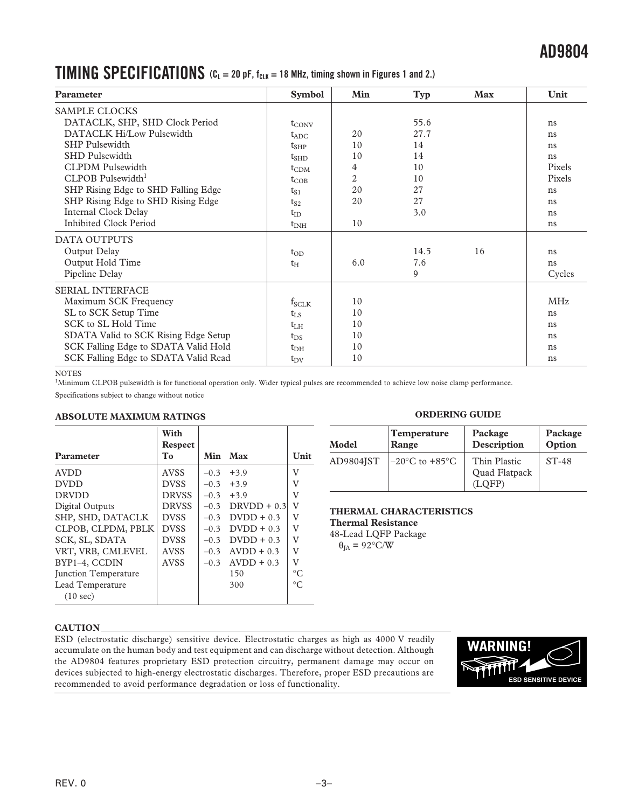### **AD9804**

### **TIMING SPECIFICATIONS**  $(C_L = 20 \text{ pF}, f_{CLK} = 18 \text{ MHz}, \text{ timing shown in Figures 1 and 2.})$

| Parameter                            | <b>Symbol</b>     | Min            | Typ  | <b>Max</b> | Unit       |
|--------------------------------------|-------------------|----------------|------|------------|------------|
| <b>SAMPLE CLOCKS</b>                 |                   |                |      |            |            |
| DATACLK, SHP, SHD Clock Period       | $t_{\text{CONV}}$ |                | 55.6 |            | ns         |
| DATACLK Hi/Low Pulsewidth            | $t_{ADC}$         | 20             | 27.7 |            | ns         |
| <b>SHP</b> Pulsewidth                | $t_{SHP}$         | 10             | 14   |            | ns         |
| <b>SHD Pulsewidth</b>                | $t_{\text{SHD}}$  | 10             | 14   |            | ns         |
| <b>CLPDM</b> Pulsewidth              | $t_{CDM}$         | 4              | 10   |            | Pixels     |
| CLPOB Pulsewidth <sup>1</sup>        | $t_{COB}$         | $\overline{c}$ | 10   |            | Pixels     |
| SHP Rising Edge to SHD Falling Edge  | $t_{S1}$          | 20             | 27   |            | ns         |
| SHP Rising Edge to SHD Rising Edge   | $t_{S2}$          | 20             | 27   |            | ns         |
| Internal Clock Delay                 | $t_{ID}$          |                | 3.0  |            | ns         |
| <b>Inhibited Clock Period</b>        | $t_{\rm INH}$     | 10             |      |            | ns         |
| DATA OUTPUTS                         |                   |                |      |            |            |
| Output Delay                         | $t_{OD}$          |                | 14.5 | 16         | ns         |
| Output Hold Time                     | $t_{\rm H}$       | 6.0            | 7.6  |            | ns         |
| Pipeline Delay                       |                   |                | 9    |            | Cycles     |
| <b>SERIAL INTERFACE</b>              |                   |                |      |            |            |
| Maximum SCK Frequency                | $f_{SCLK}$        | 10             |      |            | <b>MHz</b> |
| SL to SCK Setup Time                 | $t_{LS}$          | 10             |      |            | ns         |
| SCK to SL Hold Time                  | $t_{LH}$          | 10             |      |            | ns         |
| SDATA Valid to SCK Rising Edge Setup | $t_{DS}$          | 10             |      |            | ns         |
| SCK Falling Edge to SDATA Valid Hold | $t_{\rm DH}$      | 10             |      |            | ns         |
| SCK Falling Edge to SDATA Valid Read | $t_{\rm DV}$      | 10             |      |            | ns         |

#### NOTES

<sup>1</sup>Minimum CLPOB pulsewidth is for functional operation only. Wider typical pulses are recommended to achieve low noise clamp performance.

Specifications subject to change without notice

#### **ABSOLUTE MAXIMUM RATINGS ORDERING GUIDE**

|                             | With                             |        |               |                         |
|-----------------------------|----------------------------------|--------|---------------|-------------------------|
| Parameter                   | <b>Respect</b><br>T <sub>0</sub> | Min    | Max           | Unit                    |
| <b>AVDD</b>                 | <b>AVSS</b>                      | $-0.3$ | $+3.9$        | $\overline{\mathsf{V}}$ |
| <b>DVDD</b>                 | <b>DVSS</b>                      | $-0.3$ | $+3.9$        | V                       |
| <b>DRVDD</b>                | <b>DRVSS</b>                     | $-0.3$ | $+3.9$        | V                       |
| Digital Outputs             | <b>DRVSS</b>                     | $-0.3$ | $DRVDD + 0.3$ | $\rm _V$                |
| SHP, SHD, DATACLK           | <b>DVSS</b>                      | $-0.3$ | $D VDD + 0.3$ | V                       |
| CLPOB, CLPDM, PBLK          | <b>DVSS</b>                      | $-0.3$ | $D VDD + 0.3$ | V                       |
| SCK, SL, SDATA              | <b>DVSS</b>                      | $-0.3$ | $D VDD + 0.3$ | V                       |
| VRT, VRB, CMLEVEL           | <b>AVSS</b>                      | $-0.3$ | $AVDD + 0.3$  | V                       |
| BYP1-4, CCDIN               | <b>AVSS</b>                      | $-0.3$ | $AVDD + 0.3$  | V                       |
| <b>Iunction Temperature</b> |                                  |        | 150           | $\circ$ C               |
| Lead Temperature            |                                  |        | 300           | $^{\circ}C$             |
| (10 sec)                    |                                  |        |               |                         |

| Model     | <b>Temperature</b>                 | Package                                 | Package |
|-----------|------------------------------------|-----------------------------------------|---------|
|           | Range                              | Description                             | Option  |
| AD9804JST | $-20^{\circ}$ C to $+85^{\circ}$ C | Thin Plastic<br>Quad Flatpack<br>(LOFP) | $ST-48$ |

### **THERMAL CHARACTERISTICS**

**Thermal Resistance** 

48-Lead LQFP Package  $\theta_{IA} = 92^{\circ}$ C/W

#### **CAUTION**

ESD (electrostatic discharge) sensitive device. Electrostatic charges as high as 4000 V readily accumulate on the human body and test equipment and can discharge without detection. Although the AD9804 features proprietary ESD protection circuitry, permanent damage may occur on devices subjected to high-energy electrostatic discharges. Therefore, proper ESD precautions are recommended to avoid performance degradation or loss of functionality.

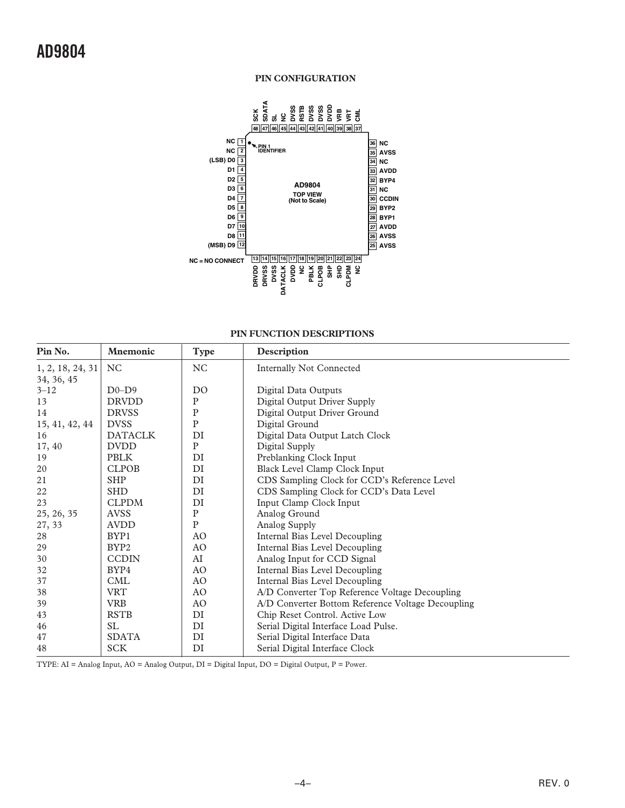#### **PIN CONFIGURATION**



#### **PIN FUNCTION DESCRIPTIONS**

| Pin No.          | <b>Mnemonic</b>  | <b>Type</b>    | Description                                       |
|------------------|------------------|----------------|---------------------------------------------------|
| 1, 2, 18, 24, 31 | NC.              | NC             | <b>Internally Not Connected</b>                   |
| 34, 36, 45       |                  |                |                                                   |
| $3 - 12$         | $D0-D9$          | D <sub>O</sub> | Digital Data Outputs                              |
| 13               | <b>DRVDD</b>     | $\mathbf P$    | Digital Output Driver Supply                      |
| 14               | <b>DRVSS</b>     | ${\bf P}$      | Digital Output Driver Ground                      |
| 15, 41, 42, 44   | <b>DVSS</b>      | ${\bf P}$      | Digital Ground                                    |
| 16               | <b>DATACLK</b>   | DI             | Digital Data Output Latch Clock                   |
| 17, 40           | <b>DVDD</b>      | ${\bf P}$      | Digital Supply                                    |
| 19               | <b>PBLK</b>      | DI             | Preblanking Clock Input                           |
| 20               | <b>CLPOB</b>     | DI             | Black Level Clamp Clock Input                     |
| 21               | <b>SHP</b>       | DI             | CDS Sampling Clock for CCD's Reference Level      |
| 22               | <b>SHD</b>       | DI             | CDS Sampling Clock for CCD's Data Level           |
| 23               | <b>CLPDM</b>     | DI             | Input Clamp Clock Input                           |
| 25, 26, 35       | <b>AVSS</b>      | ${\bf P}$      | Analog Ground                                     |
| 27, 33           | <b>AVDD</b>      | ${\bf P}$      | Analog Supply                                     |
| 28               | BYP1             | AO             | Internal Bias Level Decoupling                    |
| 29               | BYP <sub>2</sub> | AO             | Internal Bias Level Decoupling                    |
| 30               | <b>CCDIN</b>     | AI             | Analog Input for CCD Signal                       |
| 32               | BYP4             | AO             | Internal Bias Level Decoupling                    |
| 37               | <b>CML</b>       | AO             | Internal Bias Level Decoupling                    |
| 38               | <b>VRT</b>       | AO             | A/D Converter Top Reference Voltage Decoupling    |
| 39               | <b>VRB</b>       | AO             | A/D Converter Bottom Reference Voltage Decoupling |
| 43               | <b>RSTB</b>      | DI             | Chip Reset Control. Active Low                    |
| 46               | SL.              | DI             | Serial Digital Interface Load Pulse.              |
| 47               | <b>SDATA</b>     | DI             | Serial Digital Interface Data                     |
| 48               | <b>SCK</b>       | DI             | Serial Digital Interface Clock                    |

TYPE: AI = Analog Input, AO = Analog Output, DI = Digital Input, DO = Digital Output, P = Power.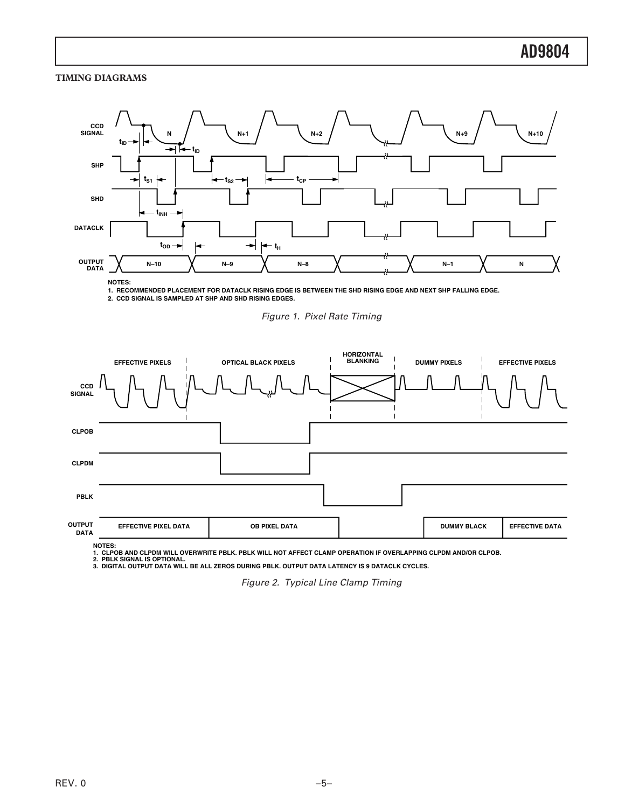#### **TIMING DIAGRAMS**



**1. RECOMMENDED PLACEMENT FOR DATACLK RISING EDGE IS BETWEEN THE SHD RISING EDGE AND NEXT SHP FALLING EDGE.** 

**2. CCD SIGNAL IS SAMPLED AT SHP AND SHD RISING EDGES.** 





NOTES:<br>1. CLPOB AND CLPDM WILL OVERWRITE PBLK. PBLK WILL NOT AFFECT CLAMP OPERATION IF OVERLAPPING CLPDM AND/OR CLPOB.<br>2. PBLK SIGNAL IS OPTIONAL.<br>3. DIGITAL OUTPUT DATA WILL BE ALL ZEROS DURING PBLK. OUTPUT DATA LATENCY

Figure 2. Typical Line Clamp Timing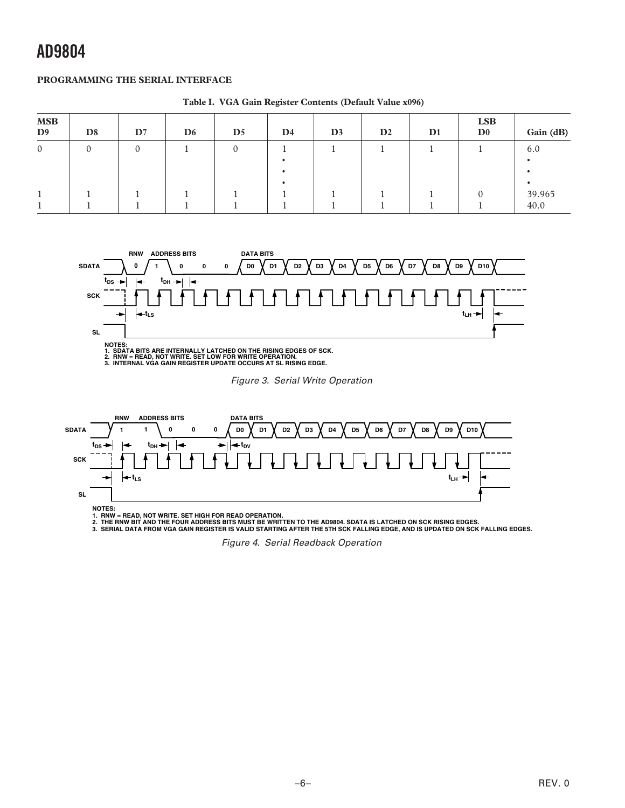### **AD9804**

#### **PROGRAMMING THE SERIAL INTERFACE**

| <b>MSB</b><br>D <sub>9</sub> | D <sub>8</sub> | $\mathbf{D}7$ | D <sub>6</sub> | $\mathbf{D}5$ | $\mathbf{D}4$ | D <sub>3</sub> | D2 | D1 | <b>LSB</b><br>$\mathbf{D}^0$ | Gain (dB)      |
|------------------------------|----------------|---------------|----------------|---------------|---------------|----------------|----|----|------------------------------|----------------|
| $\overline{0}$               |                |               |                | $\theta$      |               |                |    |    |                              | 6.0            |
|                              |                |               |                |               |               |                |    |    |                              |                |
|                              |                |               |                |               |               |                |    |    |                              | 39.965<br>40.0 |

**Table I. VGA Gain Register Contents (Default Value x096)** 



1. SDATA BITS ARE INTERNALLY LATCHED ON THE RISING EDGES OF SCK.<br>2. RNW = READ, NOT WRITE. SET LOW FOR WRITE OPERATION.<br>3. INTERNAL VGA GAIN REGISTER UPDATE OCCURS AT SL RISING EDGE.

Figure 3. Serial Write Operation



1. RNW = READ, NOT WRITE. SET HIGH FOR READ OPERATION.<br>2. THE RNW BIT AND THE FOUR ADDRESS BITS MUST BE WRITTEN TO THE AD9804. SDATA IS LATCHED ON SCK RISING EDGES.<br>3. SERIAL DATA FROM VGA GAIN REGISTER IS VALID STARTING A

Figure 4. Serial Readback Operation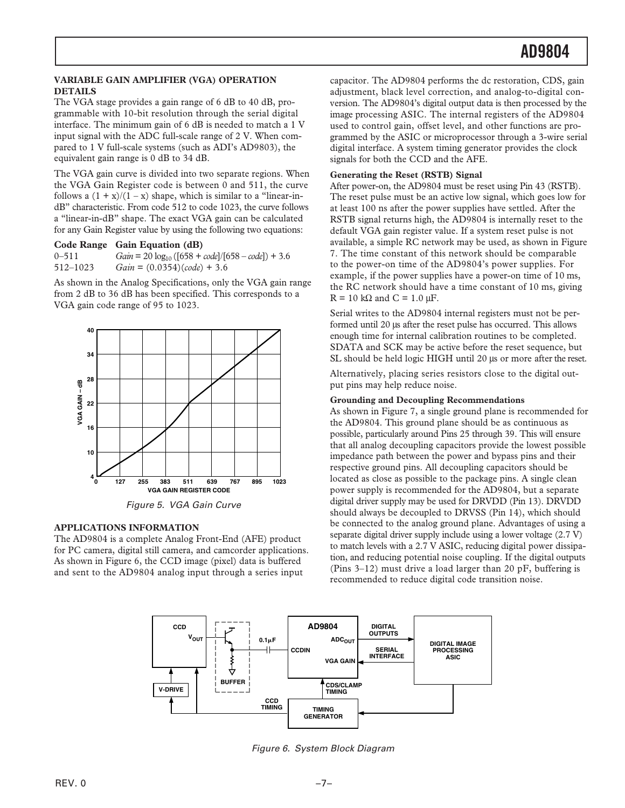#### **VARIABLE GAIN AMPLIFIER (VGA) OPERATION DETAILS**

The VGA stage provides a gain range of 6 dB to 40 dB, programmable with 10-bit resolution through the serial digital interface. The minimum gain of 6 dB is needed to match a 1 V input signal with the ADC full-scale range of 2 V. When compared to 1 V full-scale systems (such as ADI's AD9803), the equivalent gain range is 0 dB to 34 dB.

The VGA gain curve is divided into two separate regions. When the VGA Gain Register code is between 0 and 511, the curve follows a  $(1 + x)/(1 - x)$  shape, which is similar to a "linear-indB" characteristic. From code 512 to code 1023, the curve follows a "linear-in-dB" shape. The exact VGA gain can be calculated for any Gain Register value by using the following two equations:

#### **Code Range Gain Equation (dB)**

| $0 - 511$ | $Gain = 20 log_{10} ([658 + code]/[658 - code]) + 3.6$ |
|-----------|--------------------------------------------------------|
| 512–1023  | $Gain = (0.0354)(code) + 3.6$                          |

As shown in the Analog Specifications, only the VGA gain range from 2 dB to 36 dB has been specified. This corresponds to a VGA gain code range of 95 to 1023.



Figure 5. VGA Gain Curve

#### **APPLICATIONS INFORMATION**

The AD9804 is a complete Analog Front-End (AFE) product for PC camera, digital still camera, and camcorder applications. As shown in Figure 6, the CCD image (pixel) data is buffered

capacitor. The AD9804 performs the dc restoration, CDS, gain adjustment, black level correction, and analog-to-digital conversion. The AD9804's digital output data is then processed by the image processing ASIC. The internal registers of the AD9804 used to control gain, offset level, and other functions are programmed by the ASIC or microprocessor through a 3-wire serial digital interface. A system timing generator provides the clock signals for both the CCD and the AFE.

#### **Generating the Reset (RSTB) Signal**

 the RC network should have a time constant of 10 ms, giving After power-on, the AD9804 must be reset using Pin 43 (RSTB). The reset pulse must be an active low signal, which goes low for at least 100 ns after the power supplies have settled. After the RSTB signal returns high, the AD9804 is internally reset to the default VGA gain register value. If a system reset pulse is not available, a simple RC network may be used, as shown in Figure 7. The time constant of this network should be comparable to the power-on time of the AD9804's power supplies. For example, if the power supplies have a power-on time of 10 ms,  $R = 10 \text{ k}\Omega$  and  $C = 1.0 \mu\text{F}$ .

Serial writes to the AD9804 internal registers must not be performed until 20 µs after the reset pulse has occurred. This allows enough time for internal calibration routines to be completed. SDATA and SCK may be active before the reset sequence, but SL should be held logic HIGH until 20 µs or more after the reset.

Alternatively, placing series resistors close to the digital output pins may help reduce noise.

#### **Grounding and Decoupling Recommendations**

As shown in Figure 7, a single ground plane is recommended for the AD9804. This ground plane should be as continuous as possible, particularly around Pins 25 through 39. This will ensure that all analog decoupling capacitors provide the lowest possible impedance path between the power and bypass pins and their respective ground pins. All decoupling capacitors should be located as close as possible to the package pins. A single clean power supply is recommended for the AD9804, but a separate digital driver supply may be used for DRVDD (Pin 13). DRVDD should always be decoupled to DRVSS (Pin 14), which should be connected to the analog ground plane. Advantages of using a separate digital driver supply include using a lower voltage (2.7 V) to match levels with a 2.7 V ASIC, reducing digital power dissipation, and reducing potential noise coupling. If the digital outputs (Pins 3–12) must drive a load larger than 20 pF, buffering is recommended to reduce digital code transition noise.



Figure 6. System Block Diagram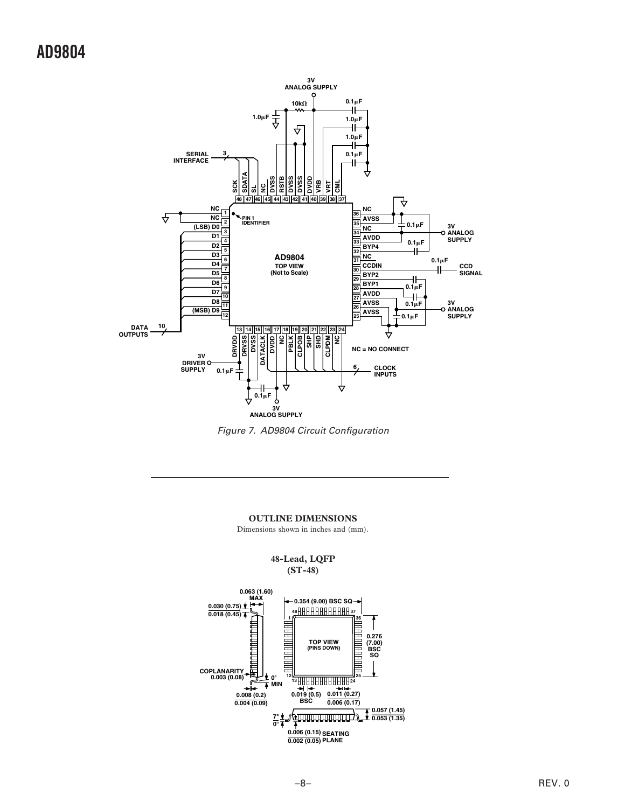### **AD9804**



Figure 7. AD9804 Circuit Configuration

#### **OUTLINE DIMENSIONS**

Dimensions shown in inches and (mm).